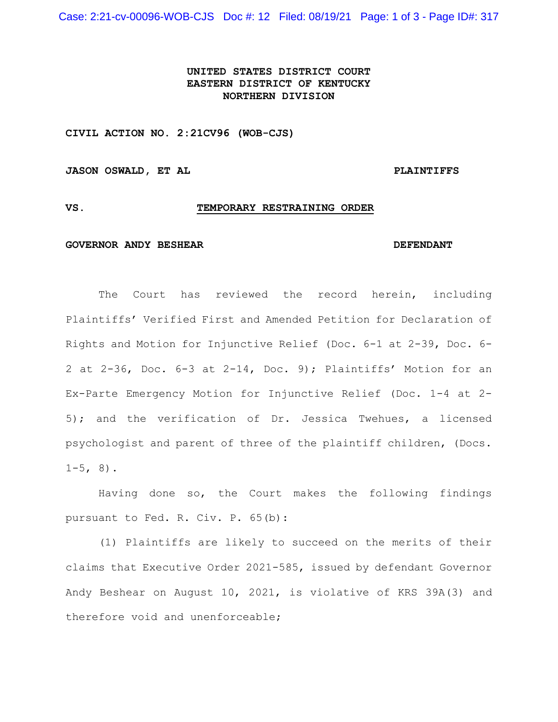Case: 2:21-cv-00096-WOB-CJS Doc #: 12 Filed: 08/19/21 Page: 1 of 3 - Page ID#: 317

# **UNITED STATES DISTRICT COURT EASTERN DISTRICT OF KENTUCKY NORTHERN DIVISION**

**CIVIL ACTION NO. 2:21CV96 (WOB-CJS)**

JASON OSWALD, ET AL **PLAINTIFFS** 

## **VS. TEMPORARY RESTRAINING ORDER**

### **GOVERNOR ANDY BESHEAR DEFENDANT**

The Court has reviewed the record herein, including Plaintiffs' Verified First and Amended Petition for Declaration of Rights and Motion for Injunctive Relief (Doc. 6-1 at 2-39, Doc. 6- 2 at 2-36, Doc. 6-3 at 2-14, Doc. 9); Plaintiffs' Motion for an Ex-Parte Emergency Motion for Injunctive Relief (Doc. 1-4 at 2- 5); and the verification of Dr. Jessica Twehues, a licensed psychologist and parent of three of the plaintiff children, (Docs.  $1-5, 8$ .

Having done so, the Court makes the following findings pursuant to Fed. R. Civ. P. 65(b):

(1) Plaintiffs are likely to succeed on the merits of their claims that Executive Order 2021-585, issued by defendant Governor Andy Beshear on August 10, 2021, is violative of KRS 39A(3) and therefore void and unenforceable;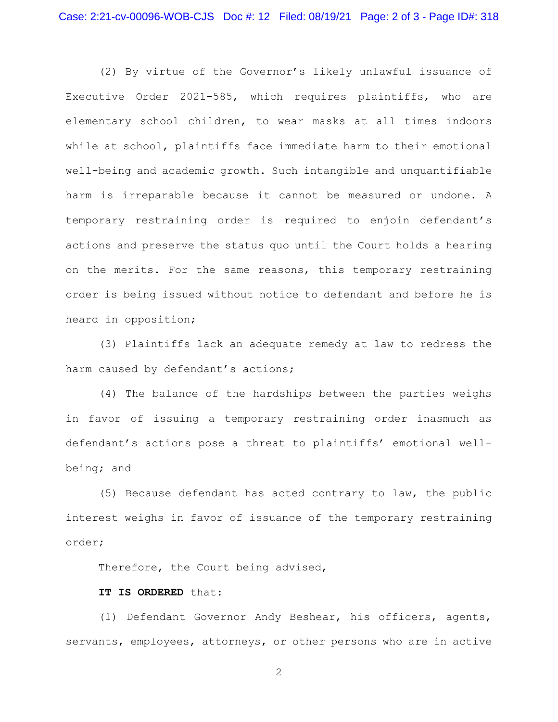(2) By virtue of the Governor's likely unlawful issuance of Executive Order 2021-585, which requires plaintiffs, who are elementary school children, to wear masks at all times indoors while at school, plaintiffs face immediate harm to their emotional well-being and academic growth. Such intangible and unquantifiable harm is irreparable because it cannot be measured or undone. A temporary restraining order is required to enjoin defendant's actions and preserve the status quo until the Court holds a hearing on the merits. For the same reasons, this temporary restraining order is being issued without notice to defendant and before he is heard in opposition;

(3) Plaintiffs lack an adequate remedy at law to redress the harm caused by defendant's actions;

(4) The balance of the hardships between the parties weighs in favor of issuing a temporary restraining order inasmuch as defendant's actions pose a threat to plaintiffs' emotional wellbeing; and

(5) Because defendant has acted contrary to law, the public interest weighs in favor of issuance of the temporary restraining order;

Therefore, the Court being advised,

# **IT IS ORDERED** that:

(1) Defendant Governor Andy Beshear, his officers, agents, servants, employees, attorneys, or other persons who are in active

2